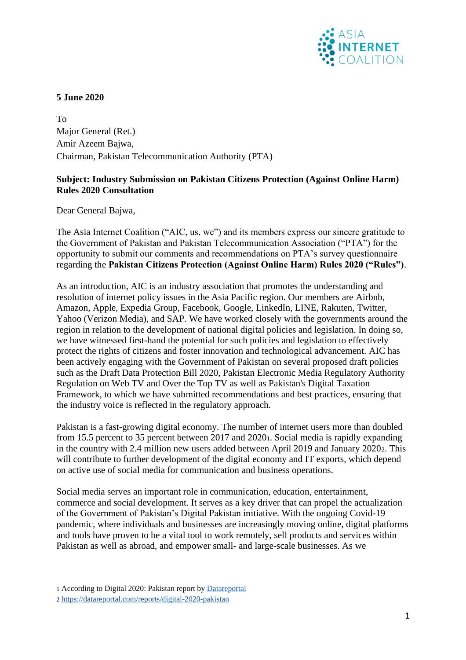

## **5 June 2020**

To Major General (Ret.) Amir Azeem Bajwa, Chairman, Pakistan Telecommunication Authority (PTA)

### **Subject: Industry Submission on Pakistan Citizens Protection (Against Online Harm) Rules 2020 Consultation**

Dear General Bajwa,

The Asia Internet Coalition ("AIC, us, we") and its members express our sincere gratitude to the Government of Pakistan and Pakistan Telecommunication Association ("PTA") for the opportunity to submit our comments and recommendations on PTA's survey questionnaire regarding the **Pakistan Citizens Protection (Against Online Harm) Rules 2020 ("Rules")**.

As an introduction, AIC is an industry association that promotes the understanding and resolution of internet policy issues in the Asia Pacific region. Our members are Airbnb, Amazon, Apple, Expedia Group, Facebook, Google, LinkedIn, LINE, Rakuten, Twitter, Yahoo (Verizon Media), and SAP. We have worked closely with the governments around the region in relation to the development of national digital policies and legislation. In doing so, we have witnessed first-hand the potential for such policies and legislation to effectively protect the rights of citizens and foster innovation and technological advancement. AIC has been actively engaging with the Government of Pakistan on several proposed draft policies such as the Draft Data Protection Bill 2020, Pakistan Electronic Media Regulatory Authority Regulation on Web TV and Over the Top TV as well as Pakistan's Digital Taxation Framework, to which we have submitted recommendations and best practices, ensuring that the industry voice is reflected in the regulatory approach.

Pakistan is a fast-growing digital economy. The number of internet users more than doubled from 15.5 percent to 35 percent between 2017 and 20201. Social media is rapidly expanding in the country with 2.4 million new users added between April 2019 and January 20202. This will contribute to further development of the digital economy and IT exports, which depend on active use of social media for communication and business operations.

Social media serves an important role in communication, education, entertainment, commerce and social development. It serves as a key driver that can propel the actualization of the Government of Pakistan's Digital Pakistan initiative. With the ongoing Covid-19 pandemic, where individuals and businesses are increasingly moving online, digital platforms and tools have proven to be a vital tool to work remotely, sell products and services within Pakistan as well as abroad, and empower small- and large-scale businesses. As we

<sup>1</sup> According to Digital 2020: Pakistan report by [Datareportal](https://datareportal.com/reports/digital-2020-pakistan)

<sup>2</sup> <https://datareportal.com/reports/digital-2020-pakistan>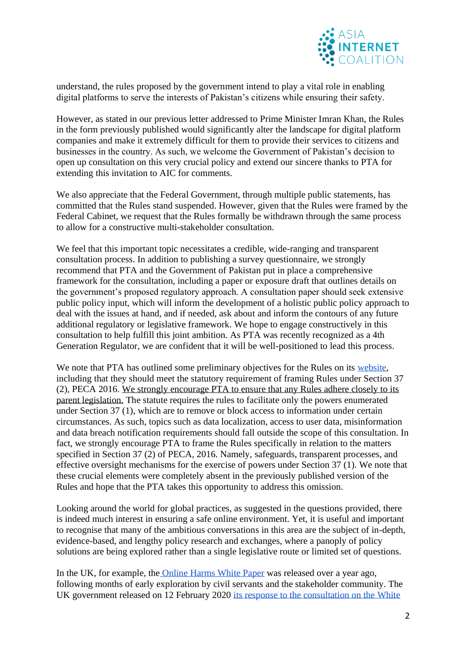

understand, the rules proposed by the government intend to play a vital role in enabling digital platforms to serve the interests of Pakistan's citizens while ensuring their safety.

However, as stated in our previous letter addressed to Prime Minister Imran Khan, the Rules in the form previously published would significantly alter the landscape for digital platform companies and make it extremely difficult for them to provide their services to citizens and businesses in the country. As such, we welcome the Government of Pakistan's decision to open up consultation on this very crucial policy and extend our sincere thanks to PTA for extending this invitation to AIC for comments.

We also appreciate that the Federal Government, through multiple public statements, has committed that the Rules stand suspended. However, given that the Rules were framed by the Federal Cabinet, we request that the Rules formally be withdrawn through the same process to allow for a constructive multi-stakeholder consultation.

We feel that this important topic necessitates a credible, wide-ranging and transparent consultation process. In addition to publishing a survey questionnaire, we strongly recommend that PTA and the Government of Pakistan put in place a comprehensive framework for the consultation, including a paper or exposure draft that outlines details on the government's proposed regulatory approach. A consultation paper should seek extensive public policy input, which will inform the development of a holistic public policy approach to deal with the issues at hand, and if needed, ask about and inform the contours of any future additional regulatory or legislative framework. We hope to engage constructively in this consultation to help fulfill this joint ambition. As PTA was recently recognized as a 4th Generation Regulator, we are confident that it will be well-positioned to lead this process.

We note that PTA has outlined some preliminary objectives for the Rules on its website. including that they should meet the statutory requirement of framing Rules under Section 37 (2), PECA 2016. We strongly encourage PTA to ensure that any Rules adhere closely to its parent legislation. The statute requires the rules to facilitate only the powers enumerated under Section 37 (1), which are to remove or block access to information under certain circumstances. As such, topics such as data localization, access to user data, misinformation and data breach notification requirements should fall outside the scope of this consultation. In fact, we strongly encourage PTA to frame the Rules specifically in relation to the matters specified in Section 37 (2) of PECA, 2016. Namely, safeguards, transparent processes, and effective oversight mechanisms for the exercise of powers under Section 37 (1). We note that these crucial elements were completely absent in the previously published version of the Rules and hope that the PTA takes this opportunity to address this omission.

Looking around the world for global practices, as suggested in the questions provided, there is indeed much interest in ensuring a safe online environment. Yet, it is useful and important to recognise that many of the ambitious conversations in this area are the subject of in-depth, evidence-based, and lengthy policy research and exchanges, where a panoply of policy solutions are being explored rather than a single legislative route or limited set of questions.

In the UK, for example, the [Online Harms White Paper](https://www.gov.uk/government/consultations/online-harms-white-paper) was released over a year ago, following months of early exploration by civil servants and the stakeholder community. The UK government released on 12 February 2020 [its response to the consultation on the White](https://www.gov.uk/government/consultations/online-harms-white-paper/public-feedback/online-harms-white-paper-initial-consultation-response)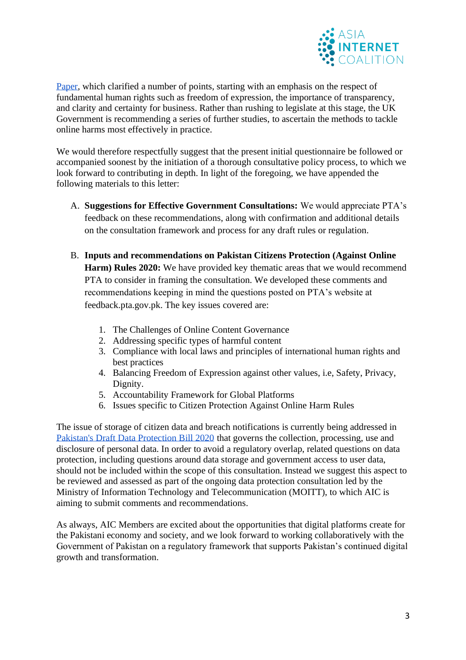

[Paper,](https://www.gov.uk/government/consultations/online-harms-white-paper/public-feedback/online-harms-white-paper-initial-consultation-response) which clarified a number of points, starting with an emphasis on the respect of fundamental human rights such as freedom of expression, the importance of transparency, and clarity and certainty for business. Rather than rushing to legislate at this stage, the UK Government is recommending a series of further studies, to ascertain the methods to tackle online harms most effectively in practice.

We would therefore respectfully suggest that the present initial questionnaire be followed or accompanied soonest by the initiation of a thorough consultative policy process, to which we look forward to contributing in depth. In light of the foregoing, we have appended the following materials to this letter:

- A. **Suggestions for Effective Government Consultations:** We would appreciate PTA's feedback on these recommendations, along with confirmation and additional details on the consultation framework and process for any draft rules or regulation.
- B. **Inputs and recommendations on Pakistan Citizens Protection (Against Online Harm) Rules 2020:** We have provided key thematic areas that we would recommend PTA to consider in framing the consultation. We developed these comments and recommendations keeping in mind the questions posted on PTA's website at feedback.pta.gov.pk. The key issues covered are:
	- 1. The Challenges of Online Content Governance
	- 2. Addressing specific types of harmful content
	- 3. Compliance with local laws and principles of international human rights and best practices
	- 4. Balancing Freedom of Expression against other values, i.e, Safety, Privacy, Dignity.
	- 5. Accountability Framework for Global Platforms
	- 6. Issues specific to Citizen Protection Against Online Harm Rules

The issue of storage of citizen data and breach notifications is currently being addressed in [Pakistan's Draft Data Protection Bill 2020](https://moitt.gov.pk/SiteImage/Misc/files/Personal%20Data%20Protection%20Bill%202020%20Updated(1).pdf) that governs the collection, processing, use and disclosure of personal data. In order to avoid a regulatory overlap, related questions on data protection, including questions around data storage and government access to user data, should not be included within the scope of this consultation. Instead we suggest this aspect to be reviewed and assessed as part of the ongoing data protection consultation led by the Ministry of Information Technology and Telecommunication (MOITT), to which AIC is aiming to submit comments and recommendations.

As always, AIC Members are excited about the opportunities that digital platforms create for the Pakistani economy and society, and we look forward to working collaboratively with the Government of Pakistan on a regulatory framework that supports Pakistan's continued digital growth and transformation.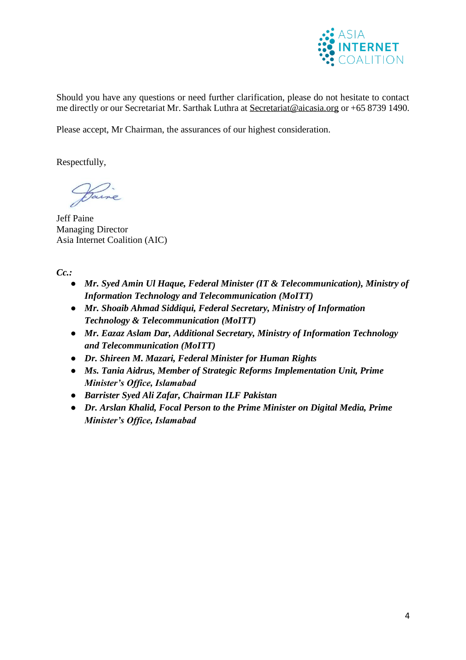

Should you have any questions or need further clarification, please do not hesitate to contact me directly or our Secretariat Mr. Sarthak Luthra at [Secretariat@aicasia.org](mailto:Secretariat@aicasia.org) or +65 8739 1490.

Please accept, Mr Chairman, the assurances of our highest consideration.

Respectfully,

Daine

Jeff Paine Managing Director Asia Internet Coalition (AIC)

*Cc.:*

- *Mr. Syed Amin Ul Haque, Federal Minister (IT & Telecommunication), Ministry of Information Technology and Telecommunication (MoITT)*
- *Mr. Shoaib Ahmad Siddiqui, Federal Secretary, Ministry of Information Technology & Telecommunication (MoITT)*
- *Mr. Eazaz Aslam Dar, Additional Secretary, Ministry of Information Technology and Telecommunication (MoITT)*
- *Dr. Shireen M. Mazari, Federal Minister for Human Rights*
- *Ms. Tania Aidrus, Member of Strategic Reforms Implementation Unit, Prime Minister's Office, Islamabad*
- *Barrister Syed Ali Zafar, Chairman ILF Pakistan*
- *Dr. Arslan Khalid, Focal Person to the Prime Minister on Digital Media, Prime Minister's Office, Islamabad*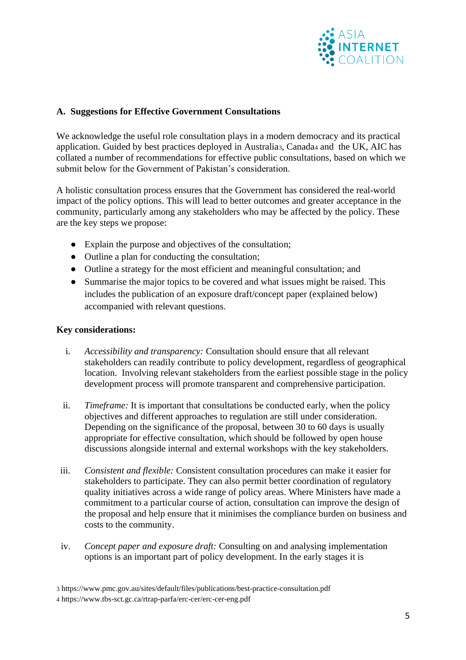

### **A. Suggestions for Effective Government Consultations**

We acknowledge the useful role consultation plays in a modern democracy and its practical application. Guided by best practices deployed in Australia3, Canada<sup>4</sup> and the UK, AIC has collated a number of recommendations for effective public consultations, based on which we submit below for the Government of Pakistan's consideration.

A holistic consultation process ensures that the Government has considered the real-world impact of the policy options. This will lead to better outcomes and greater acceptance in the community, particularly among any stakeholders who may be affected by the policy. These are the key steps we propose:

- Explain the purpose and objectives of the consultation;
- Outline a plan for conducting the consultation;
- Outline a strategy for the most efficient and meaningful consultation; and
- Summarise the major topics to be covered and what issues might be raised. This includes the publication of an exposure draft/concept paper (explained below) accompanied with relevant questions.

#### **Key considerations:**

- i. *Accessibility and transparency:* Consultation should ensure that all relevant stakeholders can readily contribute to policy development, regardless of geographical location. Involving relevant stakeholders from the earliest possible stage in the policy development process will promote transparent and comprehensive participation.
- ii. *Timeframe:* It is important that consultations be conducted early, when the policy objectives and different approaches to regulation are still under consideration. Depending on the significance of the proposal, between 30 to 60 days is usually appropriate for effective consultation, which should be followed by open house discussions alongside internal and external workshops with the key stakeholders.
- iii. *Consistent and flexible:* Consistent consultation procedures can make it easier for stakeholders to participate. They can also permit better coordination of regulatory quality initiatives across a wide range of policy areas. Where Ministers have made a commitment to a particular course of action, consultation can improve the design of the proposal and help ensure that it minimises the compliance burden on business and costs to the community.
- iv. *Concept paper and exposure draft:* Consulting on and analysing implementation options is an important part of policy development. In the early stages it is

<sup>3</sup> https://www.pmc.gov.au/sites/default/files/publications/best-practice-consultation.pdf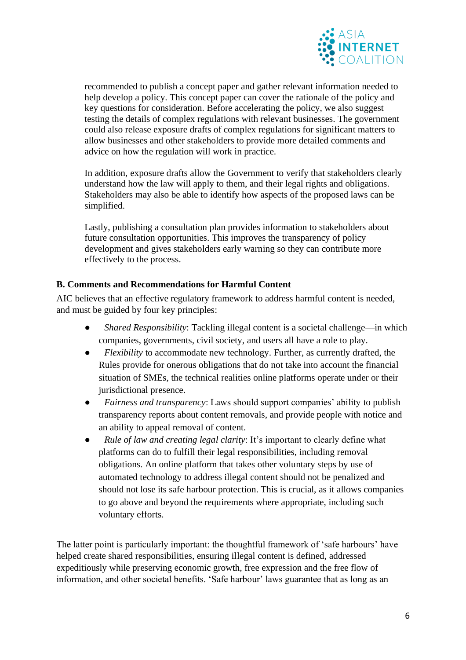

recommended to publish a concept paper and gather relevant information needed to help develop a policy. This concept paper can cover the rationale of the policy and key questions for consideration. Before accelerating the policy, we also suggest testing the details of complex regulations with relevant businesses. The government could also release exposure drafts of complex regulations for significant matters to allow businesses and other stakeholders to provide more detailed comments and advice on how the regulation will work in practice.

In addition, exposure drafts allow the Government to verify that stakeholders clearly understand how the law will apply to them, and their legal rights and obligations. Stakeholders may also be able to identify how aspects of the proposed laws can be simplified.

Lastly, publishing a consultation plan provides information to stakeholders about future consultation opportunities. This improves the transparency of policy development and gives stakeholders early warning so they can contribute more effectively to the process.

## **B. Comments and Recommendations for Harmful Content**

AIC believes that an effective regulatory framework to address harmful content is needed, and must be guided by four key principles:

- *Shared Responsibility:* Tackling illegal content is a societal challenge—in which companies, governments, civil society, and users all have a role to play.
- *Flexibility* to accommodate new technology. Further, as currently drafted, the Rules provide for onerous obligations that do not take into account the financial situation of SMEs, the technical realities online platforms operate under or their jurisdictional presence.
- *Fairness and transparency*: Laws should support companies' ability to publish transparency reports about content removals, and provide people with notice and an ability to appeal removal of content.
- *Rule of law and creating legal clarity*: It's important to clearly define what platforms can do to fulfill their legal responsibilities, including removal obligations. An online platform that takes other voluntary steps by use of automated technology to address illegal content should not be penalized and should not lose its safe harbour protection. This is crucial, as it allows companies to go above and beyond the requirements where appropriate, including such voluntary efforts.

The latter point is particularly important: the thoughtful framework of 'safe harbours' have helped create shared responsibilities, ensuring illegal content is defined, addressed expeditiously while preserving economic growth, free expression and the free flow of information, and other societal benefits. 'Safe harbour' laws guarantee that as long as an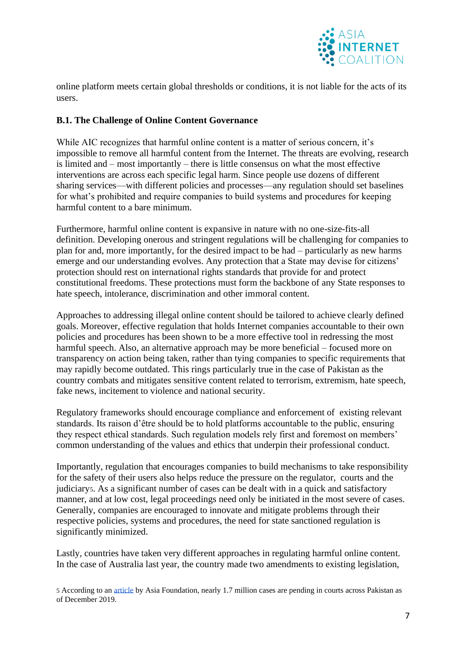

online platform meets certain global thresholds or conditions, it is not liable for the acts of its users.

## **B.1. The Challenge of Online Content Governance**

While AIC recognizes that harmful online content is a matter of serious concern, it's impossible to remove all harmful content from the Internet. The threats are evolving, research is limited and – most importantly – there is little consensus on what the most effective interventions are across each specific legal harm. Since people use dozens of different sharing services—with different policies and processes—any regulation should set baselines for what's prohibited and require companies to build systems and procedures for keeping harmful content to a bare minimum.

Furthermore, harmful online content is expansive in nature with no one-size-fits-all definition. Developing onerous and stringent regulations will be challenging for companies to plan for and, more importantly, for the desired impact to be had – particularly as new harms emerge and our understanding evolves. Any protection that a State may devise for citizens' protection should rest on international rights standards that provide for and protect constitutional freedoms. These protections must form the backbone of any State responses to hate speech, intolerance, discrimination and other immoral content.

Approaches to addressing illegal online content should be tailored to achieve clearly defined goals. Moreover, effective regulation that holds Internet companies accountable to their own policies and procedures has been shown to be a more effective tool in redressing the most harmful speech. Also, an alternative approach may be more beneficial – focused more on transparency on action being taken, rather than tying companies to specific requirements that may rapidly become outdated. This rings particularly true in the case of Pakistan as the country combats and mitigates sensitive content related to terrorism, extremism, hate speech, fake news, incitement to violence and national security.

Regulatory frameworks should encourage compliance and enforcement of existing relevant standards. Its raison d'être should be to hold platforms accountable to the public, ensuring they respect ethical standards. Such regulation models rely first and foremost on members' common understanding of the values and ethics that underpin their professional conduct.

Importantly, regulation that encourages companies to build mechanisms to take responsibility for the safety of their users also helps reduce the pressure on the regulator, courts and the judiciarys. As a significant number of cases can be dealt with in a quick and satisfactory manner, and at low cost, legal proceedings need only be initiated in the most severe of cases. Generally, companies are encouraged to innovate and mitigate problems through their respective policies, systems and procedures, the need for state sanctioned regulation is significantly minimized.

Lastly, countries have taken very different approaches in regulating harmful online content. In the case of Australia last year, the country made two amendments to existing legislation,

<sup>5</sup> According to an [article](https://asiafoundation.org/2019/12/18/alternative-dispute-resolution-gains-traction-in-pakistan/) by Asia Foundation, nearly 1.7 million cases are pending in courts across Pakistan as of December 2019.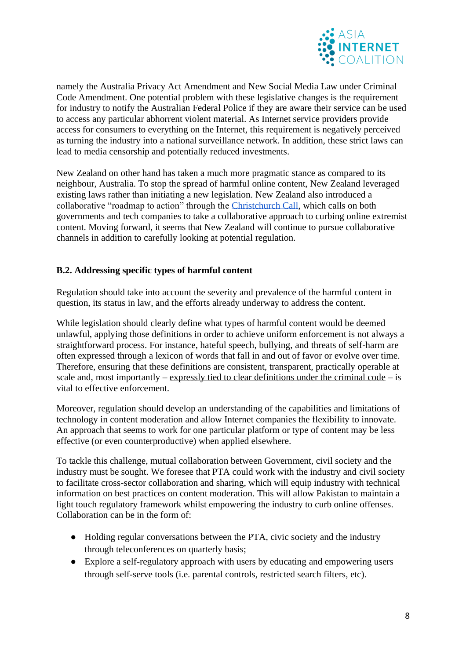

namely the Australia Privacy Act Amendment and New Social Media Law under Criminal Code Amendment. One potential problem with these legislative changes is the requirement for industry to notify the Australian Federal Police if they are aware their service can be used to access any particular abhorrent violent material. As Internet service providers provide access for consumers to everything on the Internet, this requirement is negatively perceived as turning the industry into a national surveillance network. In addition, these strict laws can lead to media censorship and potentially reduced investments.

New Zealand on other hand has taken a much more pragmatic stance as compared to its neighbour, Australia. To stop the spread of harmful online content, New Zealand leveraged existing laws rather than initiating a new legislation. New Zealand also introduced a collaborative "roadmap to action" through the [Christchurch Call,](https://www.christchurchcall.com/) which calls on both governments and tech companies to take a collaborative approach to curbing online extremist content. Moving forward, it seems that New Zealand will continue to pursue collaborative channels in addition to carefully looking at potential regulation.

## **B.2. Addressing specific types of harmful content**

Regulation should take into account the severity and prevalence of the harmful content in question, its status in law, and the efforts already underway to address the content.

While legislation should clearly define what types of harmful content would be deemed unlawful, applying those definitions in order to achieve uniform enforcement is not always a straightforward process. For instance, hateful speech, bullying, and threats of self-harm are often expressed through a lexicon of words that fall in and out of favor or evolve over time. Therefore, ensuring that these definitions are consistent, transparent, practically operable at scale and, most importantly – expressly tied to clear definitions under the criminal code – is vital to effective enforcement.

Moreover, regulation should develop an understanding of the capabilities and limitations of technology in content moderation and allow Internet companies the flexibility to innovate. An approach that seems to work for one particular platform or type of content may be less effective (or even counterproductive) when applied elsewhere.

To tackle this challenge, mutual collaboration between Government, civil society and the industry must be sought. We foresee that PTA could work with the industry and civil society to facilitate cross-sector collaboration and sharing, which will equip industry with technical information on best practices on content moderation. This will allow Pakistan to maintain a light touch regulatory framework whilst empowering the industry to curb online offenses. Collaboration can be in the form of:

- Holding regular conversations between the PTA, civic society and the industry through teleconferences on quarterly basis;
- Explore a self-regulatory approach with users by educating and empowering users through self-serve tools (i.e. parental controls, restricted search filters, etc).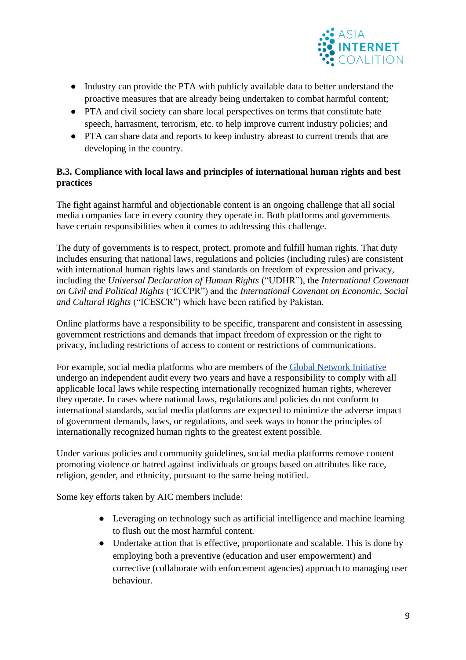

- Industry can provide the PTA with publicly available data to better understand the proactive measures that are already being undertaken to combat harmful content;
- PTA and civil society can share local perspectives on terms that constitute hate speech, harrasment, terrorism, etc. to help improve current industry policies; and
- PTA can share data and reports to keep industry abreast to current trends that are developing in the country.

# **B.3. Compliance with local laws and principles of international human rights and best practices**

The fight against harmful and objectionable content is an ongoing challenge that all social media companies face in every country they operate in. Both platforms and governments have certain responsibilities when it comes to addressing this challenge.

The duty of governments is to respect, protect, promote and fulfill human rights. That duty includes ensuring that national laws, regulations and policies (including rules) are consistent with international human rights laws and standards on freedom of expression and privacy, including the *Universal Declaration of Human Rights* ("UDHR"), the *International Covenant on Civil and Political Rights* ("ICCPR") and the *International Covenant on Economic, Social and Cultural Rights* ("ICESCR") which have been ratified by Pakistan.

Online platforms have a responsibility to be specific, transparent and consistent in assessing government restrictions and demands that impact freedom of expression or the right to privacy, including restrictions of access to content or restrictions of communications.

For example, social media platforms who are members of the [Global Network Initiative](https://globalnetworkinitiative.org/) undergo an independent audit every two years and have a responsibility to comply with all applicable local laws while respecting internationally recognized human rights, wherever they operate. In cases where national laws, regulations and policies do not conform to international standards, social media platforms are expected to minimize the adverse impact of government demands, laws, or regulations, and seek ways to honor the principles of internationally recognized human rights to the greatest extent possible.

Under various policies and community guidelines, social media platforms remove content promoting violence or hatred against individuals or groups based on attributes like race, religion, gender, and ethnicity, pursuant to the same being notified.

Some key efforts taken by AIC members include:

- Leveraging on technology such as artificial intelligence and machine learning to flush out the most harmful content.
- Undertake action that is effective, proportionate and scalable. This is done by employing both a preventive (education and user empowerment) and corrective (collaborate with enforcement agencies) approach to managing user behaviour.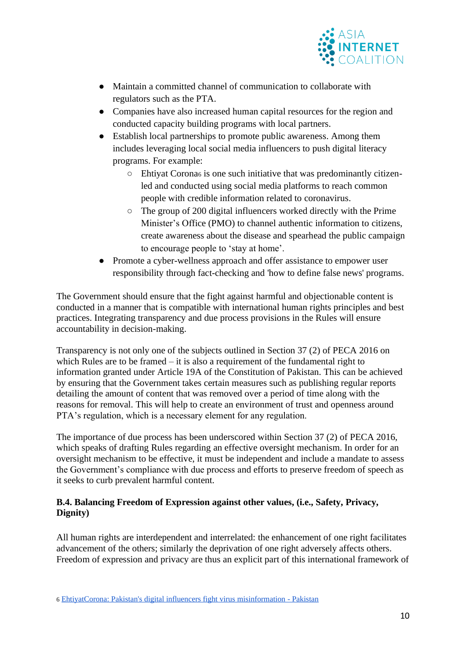

- Maintain a committed channel of communication to collaborate with regulators such as the PTA.
- Companies have also increased human capital resources for the region and conducted capacity building programs with local partners.
- Establish local partnerships to promote public awareness. Among them includes leveraging local social media influencers to push digital literacy programs. For example:
	- Ehtiyat Corona<sup>6</sup> is one such initiative that was predominantly citizenled and conducted using social media platforms to reach common people with credible information related to coronavirus.
	- The group of 200 digital influencers worked directly with the Prime Minister's Office (PMO) to channel authentic information to citizens, create awareness about the disease and spearhead the public campaign to encourage people to 'stay at home'.
- Promote a cyber-wellness approach and offer assistance to empower user responsibility through fact-checking and 'how to define false news' programs.

The Government should ensure that the fight against harmful and objectionable content is conducted in a manner that is compatible with international human rights principles and best practices. Integrating transparency and due process provisions in the Rules will ensure accountability in decision-making.

Transparency is not only one of the subjects outlined in Section 37 (2) of PECA 2016 on which Rules are to be framed – it is also a requirement of the fundamental right to information granted under Article 19A of the Constitution of Pakistan. This can be achieved by ensuring that the Government takes certain measures such as publishing regular reports detailing the amount of content that was removed over a period of time along with the reasons for removal. This will help to create an environment of trust and openness around PTA's regulation, which is a necessary element for any regulation.

The importance of due process has been underscored within Section 37 (2) of PECA 2016, which speaks of drafting Rules regarding an effective oversight mechanism. In order for an oversight mechanism to be effective, it must be independent and include a mandate to assess the Government's compliance with due process and efforts to preserve freedom of speech as it seeks to curb prevalent harmful content.

## **B.4. Balancing Freedom of Expression against other values, (i.e., Safety, Privacy, Dignity)**

All human rights are interdependent and interrelated: the enhancement of one right facilitates advancement of the others; similarly the deprivation of one right adversely affects others. Freedom of expression and privacy are thus an explicit part of this international framework of

<sup>6</sup> [EhtiyatCorona: Pakistan's digital influencers fight virus misinformation -](https://www.dawn.com/news/1542602/ehtiyatcorona-pakistans-digital-influencers-fight-virus-misinformation) Pakistan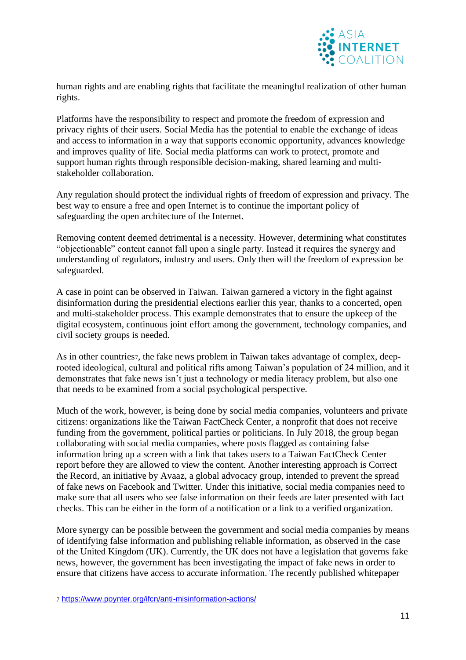

human rights and are enabling rights that facilitate the meaningful realization of other human rights.

Platforms have the responsibility to respect and promote the freedom of expression and privacy rights of their users. Social Media has the potential to enable the exchange of ideas and access to information in a way that supports economic opportunity, advances knowledge and improves quality of life. Social media platforms can work to protect, promote and support human rights through responsible decision-making, shared learning and multistakeholder collaboration.

Any regulation should protect the individual rights of freedom of expression and privacy. The best way to ensure a free and open Internet is to continue the important policy of safeguarding the open architecture of the Internet.

Removing content deemed detrimental is a necessity. However, determining what constitutes "objectionable" content cannot fall upon a single party. Instead it requires the synergy and understanding of regulators, industry and users. Only then will the freedom of expression be safeguarded.

A case in point can be observed in Taiwan. Taiwan garnered a victory in the fight against disinformation during the presidential elections earlier this year, thanks to a concerted, open and multi-stakeholder process. This example demonstrates that to ensure the upkeep of the digital ecosystem, continuous joint effort among the government, technology companies, and civil society groups is needed.

As in other countries7, the fake news problem in Taiwan takes advantage of complex, deeprooted ideological, cultural and political rifts among Taiwan's population of 24 million, and it demonstrates that fake news isn't just a technology or media literacy problem, but also one that needs to be examined from a social psychological perspective.

Much of the work, however, is being done by social media companies, volunteers and private citizens: organizations like the Taiwan FactCheck Center, a nonprofit that does not receive funding from the government, political parties or politicians. In July 2018, the group began collaborating with social media companies, where posts flagged as containing false information bring up a screen with a link that takes users to a Taiwan FactCheck Center report before they are allowed to view the content. Another interesting approach is Correct the Record, an initiative by Avaaz, a global advocacy group, intended to prevent the spread of fake news on Facebook and Twitter. Under this initiative, social media companies need to make sure that all users who see false information on their feeds are later presented with fact checks. This can be either in the form of a notification or a link to a verified organization.

More synergy can be possible between the government and social media companies by means of identifying false information and publishing reliable information, as observed in the case of the United Kingdom (UK). Currently, the UK does not have a legislation that governs fake news, however, the government has been investigating the impact of fake news in order to ensure that citizens have access to accurate information. The recently published whitepaper

7 <https://www.poynter.org/ifcn/anti-misinformation-actions/>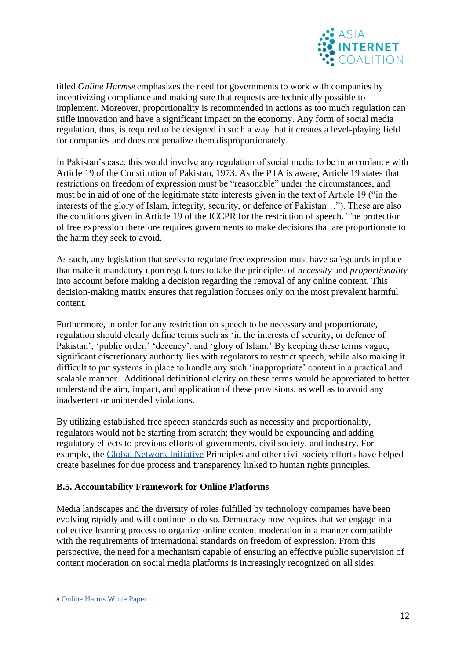

titled *Online Harms<sup>8</sup>* emphasizes the need for governments to work with companies by incentivizing compliance and making sure that requests are technically possible to implement. Moreover, proportionality is recommended in actions as too much regulation can stifle innovation and have a significant impact on the economy. Any form of social media regulation, thus, is required to be designed in such a way that it creates a level-playing field for companies and does not penalize them disproportionately.

In Pakistan's case, this would involve any regulation of social media to be in accordance with Article 19 of the Constitution of Pakistan, 1973. As the PTA is aware, Article 19 states that restrictions on freedom of expression must be "reasonable" under the circumstances, and must be in aid of one of the legitimate state interests given in the text of Article 19 ("in the interests of the glory of Islam, integrity, security, or defence of Pakistan…"). These are also the conditions given in Article 19 of the ICCPR for the restriction of speech. The protection of free expression therefore requires governments to make decisions that are proportionate to the harm they seek to avoid.

As such, any legislation that seeks to regulate free expression must have safeguards in place that make it mandatory upon regulators to take the principles of *necessity* and *proportionality*  into account before making a decision regarding the removal of any online content. This decision-making matrix ensures that regulation focuses only on the most prevalent harmful content.

Furthermore, in order for any restriction on speech to be necessary and proportionate, regulation should clearly define terms such as 'in the interests of security, or defence of Pakistan', 'public order,' 'decency', and 'glory of Islam.' By keeping these terms vague, significant discretionary authority lies with regulators to restrict speech, while also making it difficult to put systems in place to handle any such 'inappropriate' content in a practical and scalable manner. Additional definitional clarity on these terms would be appreciated to better understand the aim, impact, and application of these provisions, as well as to avoid any inadvertent or unintended violations.

By utilizing established free speech standards such as necessity and proportionality, regulators would not be starting from scratch; they would be expounding and adding regulatory effects to previous efforts of governments, civil society, and industry. For example, the [Global Network Initiative](https://globalnetworkinitiative.org/implementation-guidelines/) Principles and other civil society efforts have helped create baselines for due process and transparency linked to human rights principles.

### **B.5. Accountability Framework for Online Platforms**

Media landscapes and the diversity of roles fulfilled by technology companies have been evolving rapidly and will continue to do so. Democracy now requires that we engage in a collective learning process to organize online content moderation in a manner compatible with the requirements of international standards on freedom of expression. From this perspective, the need for a mechanism capable of ensuring an effective public supervision of content moderation on social media platforms is increasingly recognized on all sides.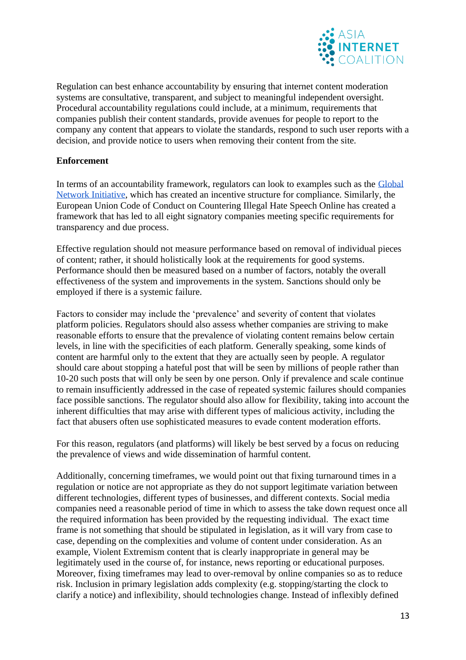

Regulation can best enhance accountability by ensuring that internet content moderation systems are consultative, transparent, and subject to meaningful independent oversight. Procedural accountability regulations could include, at a minimum, requirements that companies publish their content standards, provide avenues for people to report to the company any content that appears to violate the standards, respond to such user reports with a decision, and provide notice to users when removing their content from the site.

## **Enforcement**

In terms of an accountability framework, regulators can look to examples such as the [Global](http://globalnetworkinitiative.org/)  [Network Initiative,](http://globalnetworkinitiative.org/) which has created an incentive structure for compliance. Similarly, the European Union Code of Conduct on Countering Illegal Hate Speech Online has created a framework that has led to all eight signatory companies meeting specific requirements for transparency and due process.

Effective regulation should not measure performance based on removal of individual pieces of content; rather, it should holistically look at the requirements for good systems. Performance should then be measured based on a number of factors, notably the overall effectiveness of the system and improvements in the system. Sanctions should only be employed if there is a systemic failure.

Factors to consider may include the 'prevalence' and severity of content that violates platform policies. Regulators should also assess whether companies are striving to make reasonable efforts to ensure that the prevalence of violating content remains below certain levels, in line with the specificities of each platform. Generally speaking, some kinds of content are harmful only to the extent that they are actually seen by people. A regulator should care about stopping a hateful post that will be seen by millions of people rather than 10-20 such posts that will only be seen by one person. Only if prevalence and scale continue to remain insufficiently addressed in the case of repeated systemic failures should companies face possible sanctions. The regulator should also allow for flexibility, taking into account the inherent difficulties that may arise with different types of malicious activity, including the fact that abusers often use sophisticated measures to evade content moderation efforts.

For this reason, regulators (and platforms) will likely be best served by a focus on reducing the prevalence of views and wide dissemination of harmful content.

Additionally, concerning timeframes, we would point out that fixing turnaround times in a regulation or notice are not appropriate as they do not support legitimate variation between different technologies, different types of businesses, and different contexts. Social media companies need a reasonable period of time in which to assess the take down request once all the required information has been provided by the requesting individual. The exact time frame is not something that should be stipulated in legislation, as it will vary from case to case, depending on the complexities and volume of content under consideration. As an example, Violent Extremism content that is clearly inappropriate in general may be legitimately used in the course of, for instance, news reporting or educational purposes. Moreover, fixing timeframes may lead to over-removal by online companies so as to reduce risk. Inclusion in primary legislation adds complexity (e.g. stopping/starting the clock to clarify a notice) and inflexibility, should technologies change. Instead of inflexibly defined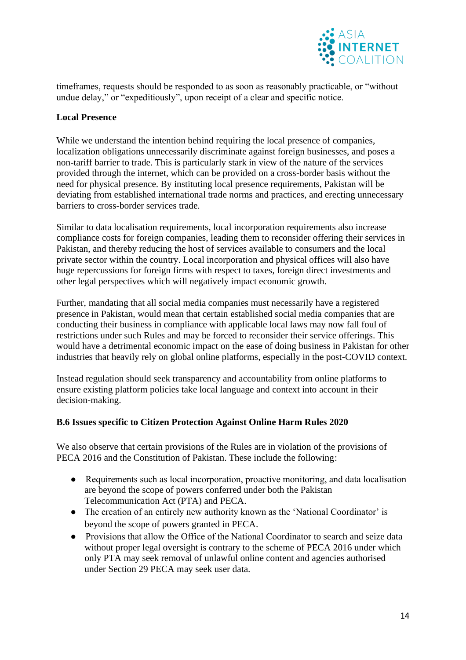

timeframes, requests should be responded to as soon as reasonably practicable, or "without undue delay," or "expeditiously", upon receipt of a clear and specific notice.

### **Local Presence**

While we understand the intention behind requiring the local presence of companies, localization obligations unnecessarily discriminate against foreign businesses, and poses a non-tariff barrier to trade. This is particularly stark in view of the nature of the services provided through the internet, which can be provided on a cross-border basis without the need for physical presence. By instituting local presence requirements, Pakistan will be deviating from established international trade norms and practices, and erecting unnecessary barriers to cross-border services trade.

Similar to data localisation requirements, local incorporation requirements also increase compliance costs for foreign companies, leading them to reconsider offering their services in Pakistan, and thereby reducing the host of services available to consumers and the local private sector within the country. Local incorporation and physical offices will also have huge repercussions for foreign firms with respect to taxes, foreign direct investments and other legal perspectives which will negatively impact economic growth.

Further, mandating that all social media companies must necessarily have a registered presence in Pakistan, would mean that certain established social media companies that are conducting their business in compliance with applicable local laws may now fall foul of restrictions under such Rules and may be forced to reconsider their service offerings. This would have a detrimental economic impact on the ease of doing business in Pakistan for other industries that heavily rely on global online platforms, especially in the post-COVID context.

Instead regulation should seek transparency and accountability from online platforms to ensure existing platform policies take local language and context into account in their decision-making.

### **B.6 Issues specific to Citizen Protection Against Online Harm Rules 2020**

We also observe that certain provisions of the Rules are in violation of the provisions of PECA 2016 and the Constitution of Pakistan. These include the following:

- Requirements such as local incorporation, proactive monitoring, and data localisation are beyond the scope of powers conferred under both the Pakistan Telecommunication Act (PTA) and PECA.
- The creation of an entirely new authority known as the 'National Coordinator' is beyond the scope of powers granted in PECA.
- Provisions that allow the Office of the National Coordinator to search and seize data without proper legal oversight is contrary to the scheme of PECA 2016 under which only PTA may seek removal of unlawful online content and agencies authorised under Section 29 PECA may seek user data.